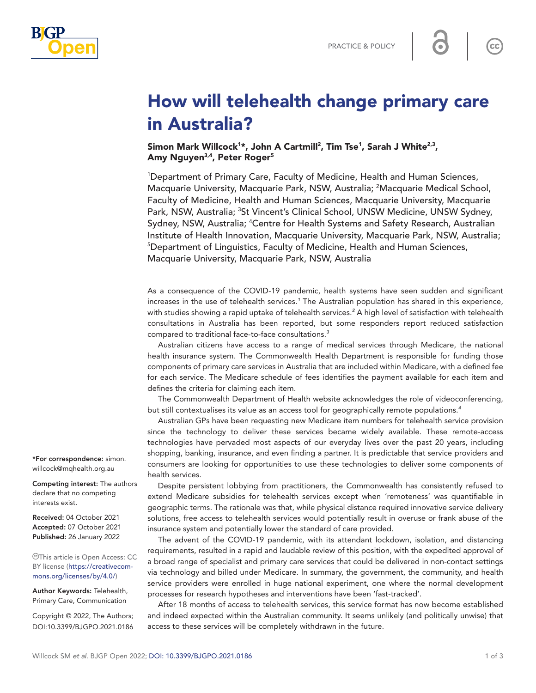



# How will telehealth change primary care in Australia?

Simon Mark Willcock<sup>1\*</sup>, John A Cartmill<sup>2</sup>, Tim Tse<sup>1</sup>, Sarah J White<sup>2,3</sup>, Amy Nguyen<sup>3,4</sup>, Peter Roger<sup>5</sup>

1 Department of Primary Care, Faculty of Medicine, Health and Human Sciences, Macquarie University, Macquarie Park, NSW, Australia; <sup>2</sup>Macquarie Medical School, Faculty of Medicine, Health and Human Sciences, Macquarie University, Macquarie Park, NSW, Australia; <sup>3</sup>St Vincent's Clinical School, UNSW Medicine, UNSW Sydney, Sydney, NSW, Australia; <sup>4</sup>Centre for Health Systems and Safety Research, Australian Institute of Health Innovation, Macquarie University, Macquarie Park, NSW, Australia; 5 Department of Linguistics, Faculty of Medicine, Health and Human Sciences, Macquarie University, Macquarie Park, NSW, Australia

As a consequence of the COVID-19 pandemic, health systems have seen sudden and significant increases in the use of telehealth services.*[1](#page-2-0)* The Australian population has shared in this experience, with studies showing a rapid uptake of telehealth services.*[2](#page-2-1)* A high level of satisfaction with telehealth consultations in Australia has been reported, but some responders report reduced satisfaction compared to traditional face-to-face consultations.*[3](#page-2-2)*

Australian citizens have access to a range of medical services through Medicare, the national health insurance system. The Commonwealth Health Department is responsible for funding those components of primary care services in Australia that are included within Medicare, with a defined fee for each service. The Medicare schedule of fees identifies the payment available for each item and defines the criteria for claiming each item.

The Commonwealth Department of Health website acknowledges the role of videoconferencing, but still contextualises its value as an access tool for geographically remote populations.*[4](#page-2-3)*

Australian GPs have been requesting new Medicare item numbers for telehealth service provision since the technology to deliver these services became widely available. These remote-access technologies have pervaded most aspects of our everyday lives over the past 20 years, including shopping, banking, insurance, and even finding a partner. It is predictable that service providers and consumers are looking for opportunities to use these technologies to deliver some components of health services.

Despite persistent lobbying from practitioners, the Commonwealth has consistently refused to extend Medicare subsidies for telehealth services except when 'remoteness' was quantifiable in geographic terms. The rationale was that, while physical distance required innovative service delivery solutions, free access to telehealth services would potentially result in overuse or frank abuse of the insurance system and potentially lower the standard of care provided.

The advent of the COVID-19 pandemic, with its attendant lockdown, isolation, and distancing requirements, resulted in a rapid and laudable review of this position, with the expedited approval of a broad range of specialist and primary care services that could be delivered in non-contact settings via technology and billed under Medicare. In summary, the government, the community, and health service providers were enrolled in huge national experiment, one where the normal development processes for research hypotheses and interventions have been 'fast-tracked'.

After 18 months of access to telehealth services, this service format has now become established and indeed expected within the Australian community. It seems unlikely (and politically unwise) that access to these services will be completely withdrawn in the future.

\*For correspondence: [simon.](mailto:simon.willcock@mqhealth.org.au) [willcock@mqhealth.org.au](mailto:simon.willcock@mqhealth.org.au)

Competing interest: The authors declare that no competing interests exist.

Received: 04 October 2021 Accepted: 07 October 2021 Published: 26 January 2022

This article is Open Access: CC BY license [\(https://creativecom](https://creativecommons.org/licenses/by/4.0/)[mons.org/licenses/by/4.0/\)](https://creativecommons.org/licenses/by/4.0/)

Author Keywords: Telehealth, Primary Care, Communication

Copyright © 2022, The Authors; DOI:10.3399/BJGPO.2021.0186  $\mathsf{cc}$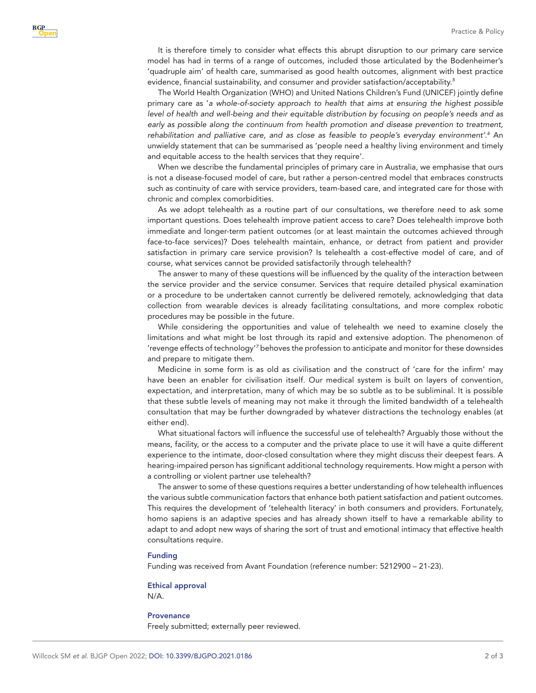It is therefore timely to consider what effects this abrupt disruption to our primary care service model has had in terms of a range of outcomes, included those articulated by the Bodenheimer's 'quadruple aim' of health care, summarised as good health outcomes, alignment with best practice evidence, financial sustainability, and consumer and provider satisfaction/acceptability.*[5](#page-2-4)*

The World Health Organization (WHO) and United Nations Children's Fund (UNICEF) jointly define primary care as '*a whole-of-society approach to health that aims at ensuring the highest possible level of health and well-being and their equitable distribution by focusing on people's needs and as*  early as possible along the continuum from health promotion and disease prevention to treatment, rehabilitation and palliative care, and as close as feasible to people's everyday environment'.<sup>[6](#page-2-5)</sup> An unwieldy statement that can be summarised as 'people need a healthy living environment and timely and equitable access to the health services that they require'.

When we describe the fundamental principles of primary care in Australia, we emphasise that ours is not a disease-focused model of care, but rather a person-centred model that embraces constructs such as continuity of care with service providers, team-based care, and integrated care for those with chronic and complex comorbidities.

As we adopt telehealth as a routine part of our consultations, we therefore need to ask some important questions. Does telehealth improve patient access to care? Does telehealth improve both immediate and longer-term patient outcomes (or at least maintain the outcomes achieved through face-to-face services)? Does telehealth maintain, enhance, or detract from patient and provider satisfaction in primary care service provision? Is telehealth a cost-effective model of care, and of course, what services cannot be provided satisfactorily through telehealth?

The answer to many of these questions will be influenced by the quality of the interaction between the service provider and the service consumer. Services that require detailed physical examination or a procedure to be undertaken cannot currently be delivered remotely, acknowledging that data collection from wearable devices is already facilitating consultations, and more complex robotic procedures may be possible in the future.

While considering the opportunities and value of telehealth we need to examine closely the limitations and what might be lost through its rapid and extensive adoption. The phenomenon of revenge effects of technology<sup>1[7](#page-2-6)</sup> behoves the profession to anticipate and monitor for these downsides and prepare to mitigate them.

Medicine in some form is as old as civilisation and the construct of 'care for the infirm' may have been an enabler for civilisation itself. Our medical system is built on layers of convention, expectation, and interpretation, many of which may be so subtle as to be subliminal. It is possible that these subtle levels of meaning may not make it through the limited bandwidth of a telehealth consultation that may be further downgraded by whatever distractions the technology enables (at either end).

What situational factors will influence the successful use of telehealth? Arguably those without the means, facility, or the access to a computer and the private place to use it will have a quite different experience to the intimate, door-closed consultation where they might discuss their deepest fears. A hearing-impaired person has significant additional technology requirements. How might a person with a controlling or violent partner use telehealth?

The answer to some of these questions requires a better understanding of how telehealth influences the various subtle communication factors that enhance both patient satisfaction and patient outcomes. This requires the development of 'telehealth literacy' in both consumers and providers. Fortunately, homo sapiens is an adaptive species and has already shown itself to have a remarkable ability to adapt to and adopt new ways of sharing the sort of trust and emotional intimacy that effective health consultations require.

### Funding

**BJGP** 

Funding was received from Avant Foundation (reference number: 5212900 – 21-23).

## Ethical approval

N/A.

#### **Provenance**

Freely submitted; externally peer reviewed.